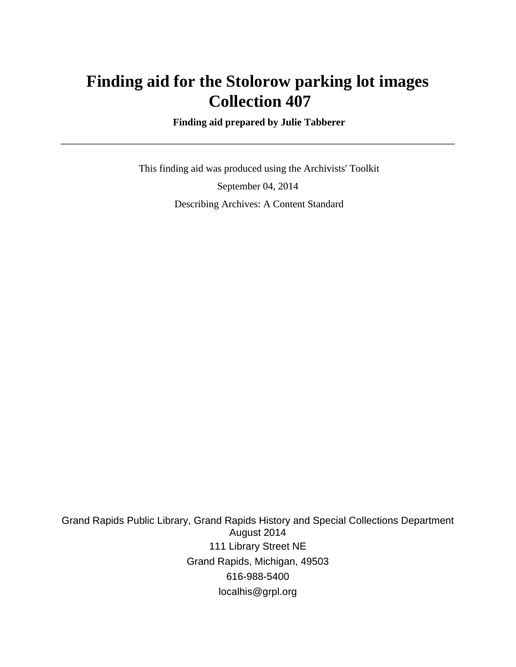## **Finding aid for the Stolorow parking lot images Collection 407**

 **Finding aid prepared by Julie Tabberer**

 This finding aid was produced using the Archivists' Toolkit September 04, 2014 Describing Archives: A Content Standard

Grand Rapids Public Library, Grand Rapids History and Special Collections Department August 2014 111 Library Street NE Grand Rapids, Michigan, 49503 616-988-5400 localhis@grpl.org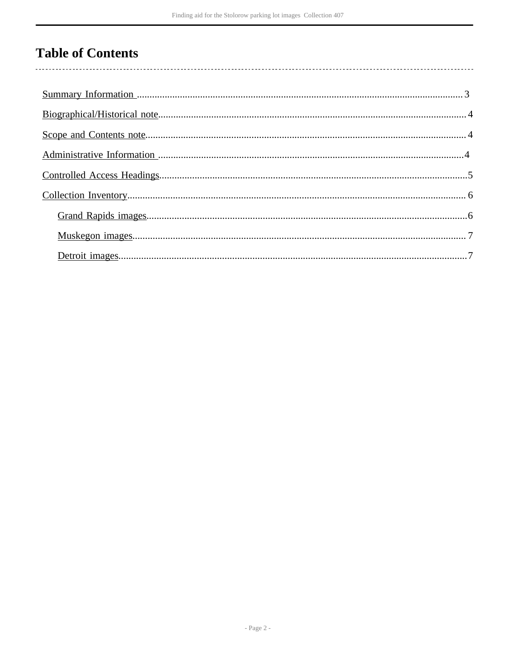## **Table of Contents**

 $\overline{\phantom{a}}$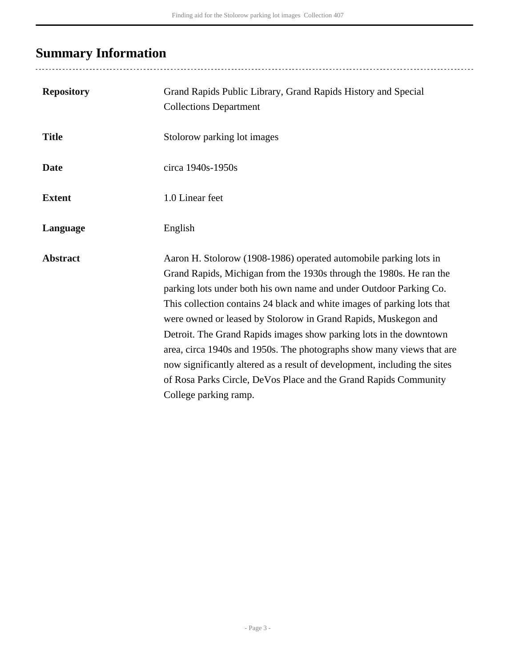# <span id="page-2-0"></span>**Summary Information**

| <b>Repository</b> | Grand Rapids Public Library, Grand Rapids History and Special<br><b>Collections Department</b>                                                                                                                                                                                                                                                                                                                                                                                                                                                                                                                                                                                       |
|-------------------|--------------------------------------------------------------------------------------------------------------------------------------------------------------------------------------------------------------------------------------------------------------------------------------------------------------------------------------------------------------------------------------------------------------------------------------------------------------------------------------------------------------------------------------------------------------------------------------------------------------------------------------------------------------------------------------|
| <b>Title</b>      | Stolorow parking lot images                                                                                                                                                                                                                                                                                                                                                                                                                                                                                                                                                                                                                                                          |
| <b>Date</b>       | circa 1940s-1950s                                                                                                                                                                                                                                                                                                                                                                                                                                                                                                                                                                                                                                                                    |
| <b>Extent</b>     | 1.0 Linear feet                                                                                                                                                                                                                                                                                                                                                                                                                                                                                                                                                                                                                                                                      |
| Language          | English                                                                                                                                                                                                                                                                                                                                                                                                                                                                                                                                                                                                                                                                              |
| <b>Abstract</b>   | Aaron H. Stolorow (1908-1986) operated automobile parking lots in<br>Grand Rapids, Michigan from the 1930s through the 1980s. He ran the<br>parking lots under both his own name and under Outdoor Parking Co.<br>This collection contains 24 black and white images of parking lots that<br>were owned or leased by Stolorow in Grand Rapids, Muskegon and<br>Detroit. The Grand Rapids images show parking lots in the downtown<br>area, circa 1940s and 1950s. The photographs show many views that are<br>now significantly altered as a result of development, including the sites<br>of Rosa Parks Circle, DeVos Place and the Grand Rapids Community<br>College parking ramp. |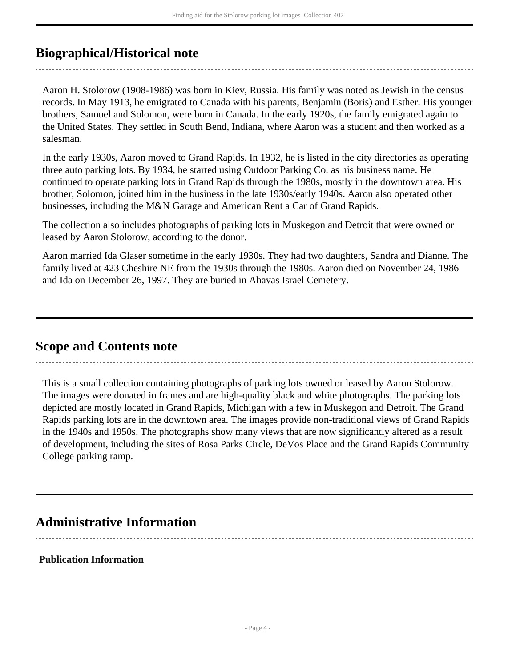## <span id="page-3-0"></span>**Biographical/Historical note**

Aaron H. Stolorow (1908-1986) was born in Kiev, Russia. His family was noted as Jewish in the census records. In May 1913, he emigrated to Canada with his parents, Benjamin (Boris) and Esther. His younger brothers, Samuel and Solomon, were born in Canada. In the early 1920s, the family emigrated again to the United States. They settled in South Bend, Indiana, where Aaron was a student and then worked as a salesman.

In the early 1930s, Aaron moved to Grand Rapids. In 1932, he is listed in the city directories as operating three auto parking lots. By 1934, he started using Outdoor Parking Co. as his business name. He continued to operate parking lots in Grand Rapids through the 1980s, mostly in the downtown area. His brother, Solomon, joined him in the business in the late 1930s/early 1940s. Aaron also operated other businesses, including the M&N Garage and American Rent a Car of Grand Rapids.

The collection also includes photographs of parking lots in Muskegon and Detroit that were owned or leased by Aaron Stolorow, according to the donor.

Aaron married Ida Glaser sometime in the early 1930s. They had two daughters, Sandra and Dianne. The family lived at 423 Cheshire NE from the 1930s through the 1980s. Aaron died on November 24, 1986 and Ida on December 26, 1997. They are buried in Ahavas Israel Cemetery.

### <span id="page-3-1"></span>**Scope and Contents note**

This is a small collection containing photographs of parking lots owned or leased by Aaron Stolorow. The images were donated in frames and are high-quality black and white photographs. The parking lots depicted are mostly located in Grand Rapids, Michigan with a few in Muskegon and Detroit. The Grand Rapids parking lots are in the downtown area. The images provide non-traditional views of Grand Rapids in the 1940s and 1950s. The photographs show many views that are now significantly altered as a result of development, including the sites of Rosa Parks Circle, DeVos Place and the Grand Rapids Community College parking ramp.

### <span id="page-3-2"></span>**Administrative Information**

#### **Publication Information**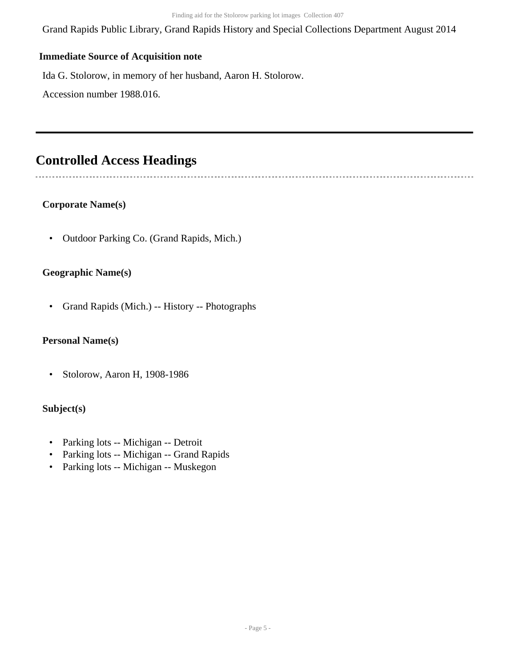Grand Rapids Public Library, Grand Rapids History and Special Collections Department August 2014

#### **Immediate Source of Acquisition note**

Ida G. Stolorow, in memory of her husband, Aaron H. Stolorow.

Accession number 1988.016.

### <span id="page-4-0"></span>**Controlled Access Headings**

#### **Corporate Name(s)**

• Outdoor Parking Co. (Grand Rapids, Mich.)

#### **Geographic Name(s)**

• Grand Rapids (Mich.) -- History -- Photographs

#### **Personal Name(s)**

• Stolorow, Aaron H, 1908-1986

#### **Subject(s)**

- Parking lots -- Michigan -- Detroit
- Parking lots -- Michigan -- Grand Rapids
- Parking lots -- Michigan -- Muskegon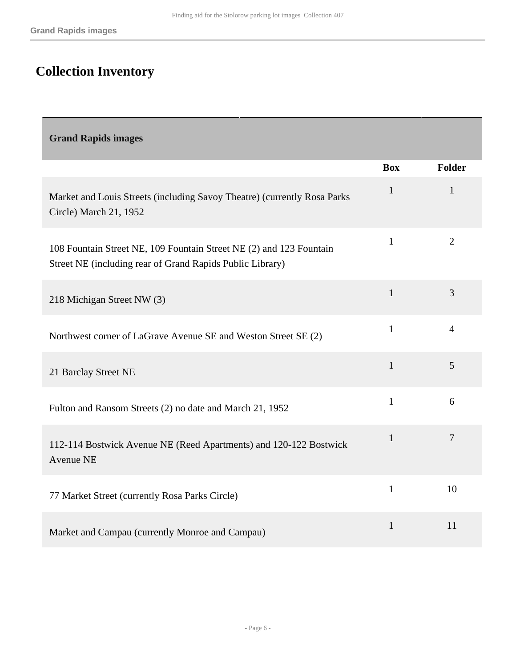# <span id="page-5-0"></span>**Collection Inventory**

<span id="page-5-1"></span>

| <b>Grand Rapids images</b>                                                                                                       |              |                |
|----------------------------------------------------------------------------------------------------------------------------------|--------------|----------------|
|                                                                                                                                  | <b>Box</b>   | <b>Folder</b>  |
| Market and Louis Streets (including Savoy Theatre) (currently Rosa Parks<br>Circle) March 21, 1952                               | $\mathbf{1}$ | $\mathbf{1}$   |
| 108 Fountain Street NE, 109 Fountain Street NE (2) and 123 Fountain<br>Street NE (including rear of Grand Rapids Public Library) | $\mathbf{1}$ | $\overline{2}$ |
| 218 Michigan Street NW (3)                                                                                                       | $\mathbf{1}$ | 3              |
| Northwest corner of LaGrave Avenue SE and Weston Street SE (2)                                                                   | $\mathbf{1}$ | $\overline{4}$ |
| 21 Barclay Street NE                                                                                                             | $\mathbf{1}$ | 5              |
| Fulton and Ransom Streets (2) no date and March 21, 1952                                                                         | $\mathbf{1}$ | 6              |
| 112-114 Bostwick Avenue NE (Reed Apartments) and 120-122 Bostwick<br>Avenue NE                                                   | $\mathbf{1}$ | $\overline{7}$ |
| 77 Market Street (currently Rosa Parks Circle)                                                                                   | $\mathbf{1}$ | 10             |
| Market and Campau (currently Monroe and Campau)                                                                                  | $\mathbf{1}$ | 11             |